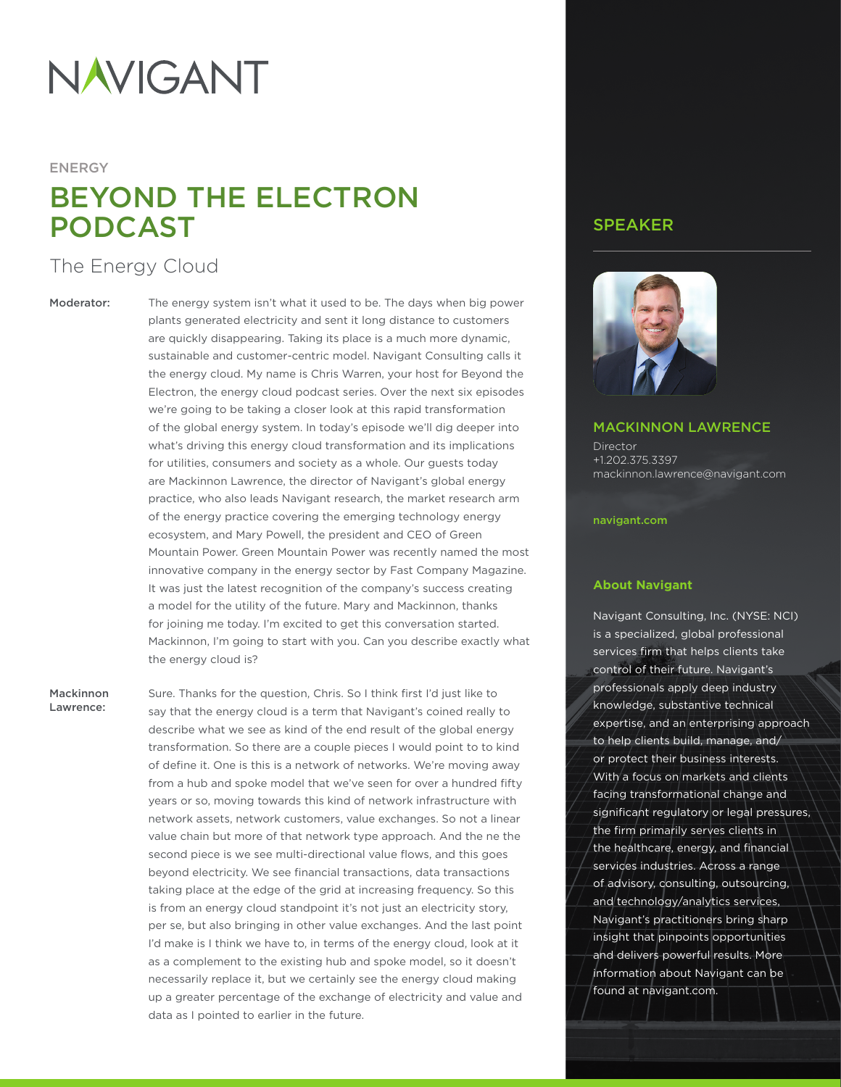# **NAVIGANT**

#### ENERGY

## BEYOND THE ELECTRON PODCAST

### The Energy Cloud

Moderator: The energy system isn't what it used to be. The days when big power plants generated electricity and sent it long distance to customers are quickly disappearing. Taking its place is a much more dynamic, sustainable and customer-centric model. Navigant Consulting calls it the energy cloud. My name is Chris Warren, your host for Beyond the Electron, the energy cloud podcast series. Over the next six episodes we're going to be taking a closer look at this rapid transformation of the global energy system. In today's episode we'll dig deeper into what's driving this energy cloud transformation and its implications for utilities, consumers and society as a whole. Our guests today are Mackinnon Lawrence, the director of Navigant's global energy practice, who also leads Navigant research, the market research arm of the energy practice covering the emerging technology energy ecosystem, and Mary Powell, the president and CEO of Green Mountain Power. Green Mountain Power was recently named the most innovative company in the energy sector by Fast Company Magazine. It was just the latest recognition of the company's success creating a model for the utility of the future. Mary and Mackinnon, thanks for joining me today. I'm excited to get this conversation started. Mackinnon, I'm going to start with you. Can you describe exactly what the energy cloud is?

Lawrence:

Mackinnon Sure. Thanks for the question, Chris. So I think first I'd just like to say that the energy cloud is a term that Navigant's coined really to describe what we see as kind of the end result of the global energy transformation. So there are a couple pieces I would point to to kind of define it. One is this is a network of networks. We're moving away from a hub and spoke model that we've seen for over a hundred fifty years or so, moving towards this kind of network infrastructure with network assets, network customers, value exchanges. So not a linear value chain but more of that network type approach. And the ne the second piece is we see multi-directional value flows, and this goes beyond electricity. We see financial transactions, data transactions taking place at the edge of the grid at increasing frequency. So this is from an energy cloud standpoint it's not just an electricity story, per se, but also bringing in other value exchanges. And the last point I'd make is I think we have to, in terms of the energy cloud, look at it as a complement to the existing hub and spoke model, so it doesn't necessarily replace it, but we certainly see the energy cloud making up a greater percentage of the exchange of electricity and value and data as I pointed to earlier in the future.

#### SPEAKER



#### MACKINNON LAWRENCE

**Director** +1.202.375.3397 mackinnon.lawrence@navigant.com

#### [navigant.com](http://navigant.com)

#### **About Navigant**

Navigant Consulting, Inc. (NYSE: NCI) is a specialized, global professional services firm that helps clients take control of their future. Navigant's professionals apply deep industry knowledge, substantive technical expertise, and an enterprising approach to help clients build, manage, and/ or protect their business interests. With a focus on markets and clients facing transformational change and significant regulatory or legal pressures, the firm primarily serves clients in the healthcare, energy, and financial services industries. Across a range of advisory, consulting, outsourcing, and technology/analytics services, Navigant's practitioners bring sharp insight that pinpoints opportunities and delivers powerful results. More information about Navigant can be found at [navigant.com](http://navigant.com).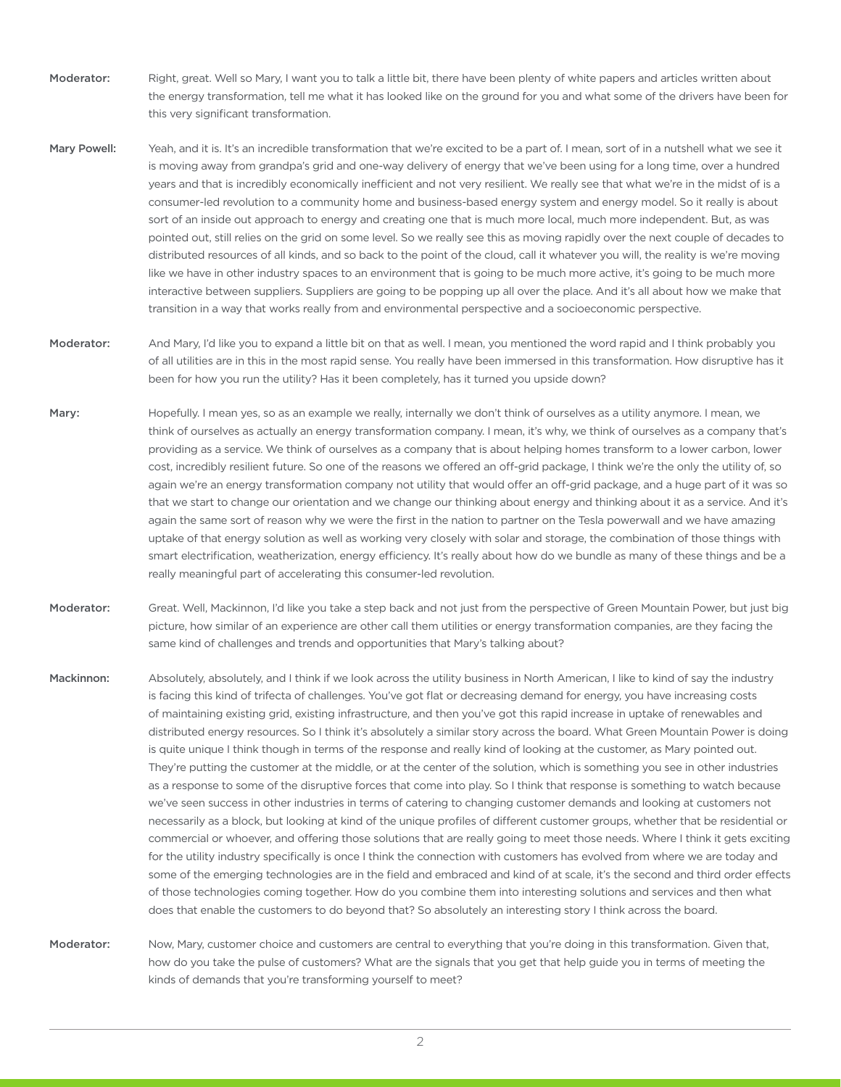- Moderator: Right, great. Well so Mary, I want you to talk a little bit, there have been plenty of white papers and articles written about the energy transformation, tell me what it has looked like on the ground for you and what some of the drivers have been for this very significant transformation.
- Mary Powell: Yeah, and it is. It's an incredible transformation that we're excited to be a part of. I mean, sort of in a nutshell what we see it is moving away from grandpa's grid and one-way delivery of energy that we've been using for a long time, over a hundred years and that is incredibly economically inefficient and not very resilient. We really see that what we're in the midst of is a consumer-led revolution to a community home and business-based energy system and energy model. So it really is about sort of an inside out approach to energy and creating one that is much more local, much more independent. But, as was pointed out, still relies on the grid on some level. So we really see this as moving rapidly over the next couple of decades to distributed resources of all kinds, and so back to the point of the cloud, call it whatever you will, the reality is we're moving like we have in other industry spaces to an environment that is going to be much more active, it's going to be much more interactive between suppliers. Suppliers are going to be popping up all over the place. And it's all about how we make that transition in a way that works really from and environmental perspective and a socioeconomic perspective.
- Moderator: And Mary, I'd like you to expand a little bit on that as well. I mean, you mentioned the word rapid and I think probably you of all utilities are in this in the most rapid sense. You really have been immersed in this transformation. How disruptive has it been for how you run the utility? Has it been completely, has it turned you upside down?
- Mary: Hopefully. I mean yes, so as an example we really, internally we don't think of ourselves as a utility anymore. I mean, we think of ourselves as actually an energy transformation company. I mean, it's why, we think of ourselves as a company that's providing as a service. We think of ourselves as a company that is about helping homes transform to a lower carbon, lower cost, incredibly resilient future. So one of the reasons we offered an off-grid package, I think we're the only the utility of, so again we're an energy transformation company not utility that would offer an off-grid package, and a huge part of it was so that we start to change our orientation and we change our thinking about energy and thinking about it as a service. And it's again the same sort of reason why we were the first in the nation to partner on the Tesla powerwall and we have amazing uptake of that energy solution as well as working very closely with solar and storage, the combination of those things with smart electrification, weatherization, energy efficiency. It's really about how do we bundle as many of these things and be a really meaningful part of accelerating this consumer-led revolution.
- Moderator: Great. Well, Mackinnon, I'd like you take a step back and not just from the perspective of Green Mountain Power, but just big picture, how similar of an experience are other call them utilities or energy transformation companies, are they facing the same kind of challenges and trends and opportunities that Mary's talking about?
- Mackinnon: Absolutely, absolutely, and I think if we look across the utility business in North American, I like to kind of say the industry is facing this kind of trifecta of challenges. You've got flat or decreasing demand for energy, you have increasing costs of maintaining existing grid, existing infrastructure, and then you've got this rapid increase in uptake of renewables and distributed energy resources. So I think it's absolutely a similar story across the board. What Green Mountain Power is doing is quite unique I think though in terms of the response and really kind of looking at the customer, as Mary pointed out. They're putting the customer at the middle, or at the center of the solution, which is something you see in other industries as a response to some of the disruptive forces that come into play. So I think that response is something to watch because we've seen success in other industries in terms of catering to changing customer demands and looking at customers not necessarily as a block, but looking at kind of the unique profiles of different customer groups, whether that be residential or commercial or whoever, and offering those solutions that are really going to meet those needs. Where I think it gets exciting for the utility industry specifically is once I think the connection with customers has evolved from where we are today and some of the emerging technologies are in the field and embraced and kind of at scale, it's the second and third order effects of those technologies coming together. How do you combine them into interesting solutions and services and then what does that enable the customers to do beyond that? So absolutely an interesting story I think across the board.

Moderator: Now, Mary, customer choice and customers are central to everything that you're doing in this transformation. Given that, how do you take the pulse of customers? What are the signals that you get that help guide you in terms of meeting the kinds of demands that you're transforming yourself to meet?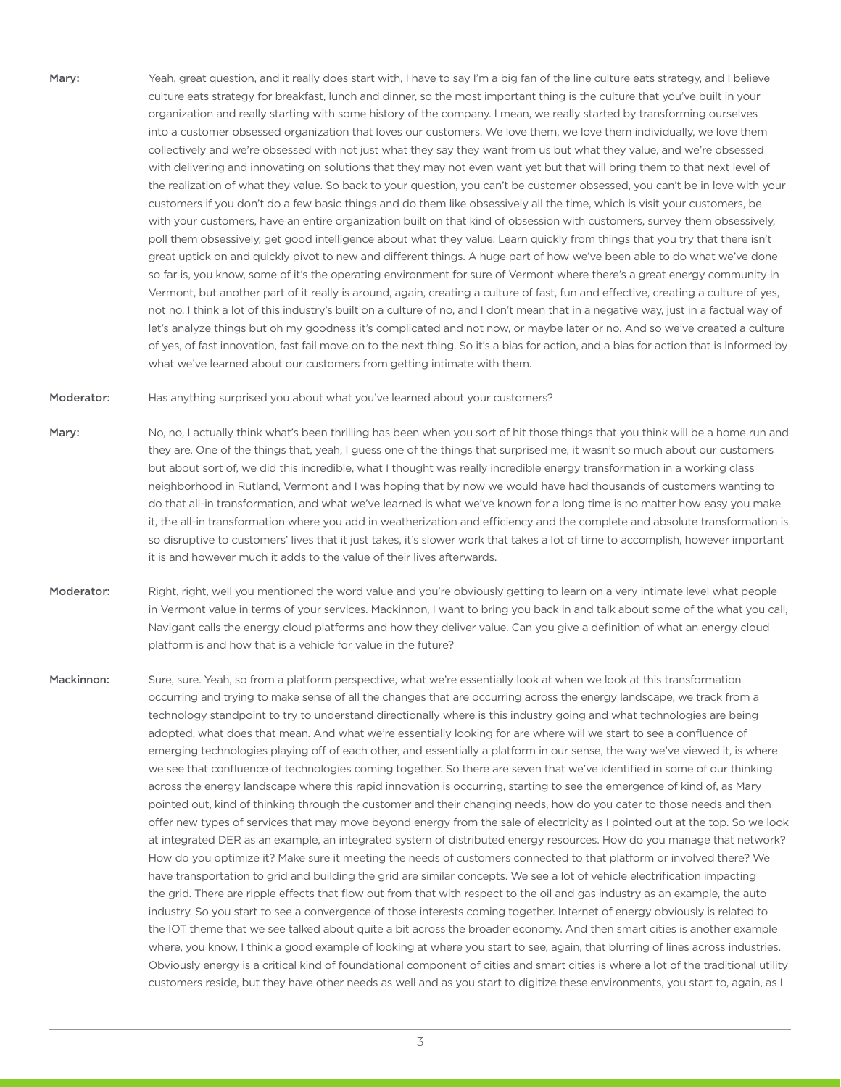- Mary: Yeah, great question, and it really does start with, I have to say I'm a big fan of the line culture eats strategy, and I believe culture eats strategy for breakfast, lunch and dinner, so the most important thing is the culture that you've built in your organization and really starting with some history of the company. I mean, we really started by transforming ourselves into a customer obsessed organization that loves our customers. We love them, we love them individually, we love them collectively and we're obsessed with not just what they say they want from us but what they value, and we're obsessed with delivering and innovating on solutions that they may not even want yet but that will bring them to that next level of the realization of what they value. So back to your question, you can't be customer obsessed, you can't be in love with your customers if you don't do a few basic things and do them like obsessively all the time, which is visit your customers, be with your customers, have an entire organization built on that kind of obsession with customers, survey them obsessively, poll them obsessively, get good intelligence about what they value. Learn quickly from things that you try that there isn't great uptick on and quickly pivot to new and different things. A huge part of how we've been able to do what we've done so far is, you know, some of it's the operating environment for sure of Vermont where there's a great energy community in Vermont, but another part of it really is around, again, creating a culture of fast, fun and effective, creating a culture of yes, not no. I think a lot of this industry's built on a culture of no, and I don't mean that in a negative way, just in a factual way of let's analyze things but oh my goodness it's complicated and not now, or maybe later or no. And so we've created a culture of yes, of fast innovation, fast fail move on to the next thing. So it's a bias for action, and a bias for action that is informed by what we've learned about our customers from getting intimate with them.
- Moderator: Has anything surprised you about what you've learned about your customers?
- Mary: No, no, I actually think what's been thrilling has been when you sort of hit those things that you think will be a home run and they are. One of the things that, yeah, I guess one of the things that surprised me, it wasn't so much about our customers but about sort of, we did this incredible, what I thought was really incredible energy transformation in a working class neighborhood in Rutland, Vermont and I was hoping that by now we would have had thousands of customers wanting to do that all-in transformation, and what we've learned is what we've known for a long time is no matter how easy you make it, the all-in transformation where you add in weatherization and efficiency and the complete and absolute transformation is so disruptive to customers' lives that it just takes, it's slower work that takes a lot of time to accomplish, however important it is and however much it adds to the value of their lives afterwards.
- Moderator: Right, right, well you mentioned the word value and you're obviously getting to learn on a very intimate level what people in Vermont value in terms of your services. Mackinnon, I want to bring you back in and talk about some of the what you call, Navigant calls the energy cloud platforms and how they deliver value. Can you give a definition of what an energy cloud platform is and how that is a vehicle for value in the future?
- Mackinnon: Sure, sure. Yeah, so from a platform perspective, what we're essentially look at when we look at this transformation occurring and trying to make sense of all the changes that are occurring across the energy landscape, we track from a technology standpoint to try to understand directionally where is this industry going and what technologies are being adopted, what does that mean. And what we're essentially looking for are where will we start to see a confluence of emerging technologies playing off of each other, and essentially a platform in our sense, the way we've viewed it, is where we see that confluence of technologies coming together. So there are seven that we've identified in some of our thinking across the energy landscape where this rapid innovation is occurring, starting to see the emergence of kind of, as Mary pointed out, kind of thinking through the customer and their changing needs, how do you cater to those needs and then offer new types of services that may move beyond energy from the sale of electricity as I pointed out at the top. So we look at integrated DER as an example, an integrated system of distributed energy resources. How do you manage that network? How do you optimize it? Make sure it meeting the needs of customers connected to that platform or involved there? We have transportation to grid and building the grid are similar concepts. We see a lot of vehicle electrification impacting the grid. There are ripple effects that flow out from that with respect to the oil and gas industry as an example, the auto industry. So you start to see a convergence of those interests coming together. Internet of energy obviously is related to the IOT theme that we see talked about quite a bit across the broader economy. And then smart cities is another example where, you know, I think a good example of looking at where you start to see, again, that blurring of lines across industries. Obviously energy is a critical kind of foundational component of cities and smart cities is where a lot of the traditional utility customers reside, but they have other needs as well and as you start to digitize these environments, you start to, again, as I